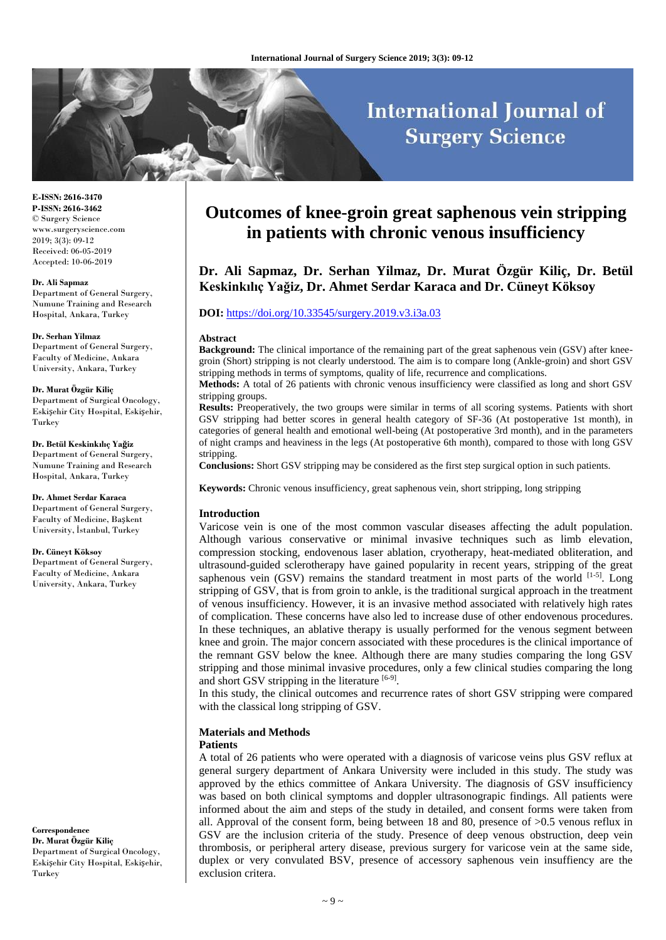# **International Journal of Surgery Science**

**E-ISSN: 2616-3470 P-ISSN: 2616-3462** © Surgery Science www.surgeryscience.com 2019; 3(3): 09-12 Received: 06-05-2019 Accepted: 10-06-2019

#### **Dr. Ali Sapmaz**

Department of General Surgery, Numune Training and Research Hospital, Ankara, Turkey

#### **Dr. Serhan Yilmaz**

Department of General Surgery, Faculty of Medicine, Ankara University, Ankara, Turkey

#### **Dr. Murat Özgür Kiliç**

Department of Surgical Oncology, Eskişehir City Hospital, Eskişehir, Turkey

#### **Dr. Betül Keskinkılıç Yağiz**

Department of General Surgery, Numune Training and Research Hospital, Ankara, Turkey

#### **Dr. Ahmet Serdar Karaca**

Department of General Surgery, Faculty of Medicine, Başkent University, İstanbul, Turkey

#### **Dr. Cüneyt Köksoy**

Department of General Surgery, Faculty of Medicine, Ankara University, Ankara, Turkey

**Correspondence**

**Dr. Murat Özgür Kiliç** Department of Surgical Oncology, Eskişehir City Hospital, Eskişehir, Turkey

# **Outcomes of knee-groin great saphenous vein stripping in patients with chronic venous insufficiency**

**Dr. Ali Sapmaz, Dr. Serhan Yilmaz, Dr. Murat Özgür Kiliç, Dr. Betül Keskinkılıç Yağiz, Dr. Ahmet Serdar Karaca and Dr. Cüneyt Köksoy**

#### **DOI:** <https://doi.org/10.33545/surgery.2019.v3.i3a.03>

#### **Abstract**

**Background:** The clinical importance of the remaining part of the great saphenous vein (GSV) after kneegroin (Short) stripping is not clearly understood. The aim is to compare long (Ankle-groin) and short GSV stripping methods in terms of symptoms, quality of life, recurrence and complications.

**Methods:** A total of 26 patients with chronic venous insufficiency were classified as long and short GSV stripping groups.

**Results:** Preoperatively, the two groups were similar in terms of all scoring systems. Patients with short GSV stripping had better scores in general health category of SF-36 (At postoperative 1st month), in categories of general health and emotional well-being (At postoperative 3rd month), and in the parameters of night cramps and heaviness in the legs (At postoperative 6th month), compared to those with long GSV stripping.

**Conclusions:** Short GSV stripping may be considered as the first step surgical option in such patients.

**Keywords:** Chronic venous insufficiency, great saphenous vein, short stripping, long stripping

#### **Introduction**

Varicose vein is one of the most common vascular diseases affecting the adult population. Although various conservative or minimal invasive techniques such as limb elevation, compression stocking, endovenous laser ablation, cryotherapy, heat-mediated obliteration, and ultrasound-guided sclerotherapy have gained popularity in recent years, stripping of the great saphenous vein (GSV) remains the standard treatment in most parts of the world  $^{[1-5]}$ . Long stripping of GSV, that is from groin to ankle, is the traditional surgical approach in the treatment of venous insufficiency. However, it is an invasive method associated with relatively high rates of complication. These concerns have also led to increase duse of other endovenous procedures. In these techniques, an ablative therapy is usually performed for the venous segment between knee and groin. The major concern associated with these procedures is the clinical importance of the remnant GSV below the knee. Although there are many studies comparing the long GSV stripping and those minimal invasive procedures, only a few clinical studies comparing the long and short GSV stripping in the literature [6-9].

In this study, the clinical outcomes and recurrence rates of short GSV stripping were compared with the classical long stripping of GSV.

# **Materials and Methods**

#### **Patients**

A total of 26 patients who were operated with a diagnosis of varicose veins plus GSV reflux at general surgery department of Ankara University were included in this study. The study was approved by the ethics committee of Ankara University. The diagnosis of GSV insufficiency was based on both clinical symptoms and doppler ultrasonograpic findings. All patients were informed about the aim and steps of the study in detailed, and consent forms were taken from all. Approval of the consent form, being between 18 and 80, presence of >0.5 venous reflux in GSV are the inclusion criteria of the study. Presence of deep venous obstruction, deep vein thrombosis, or peripheral artery disease, previous surgery for varicose vein at the same side, duplex or very convulated BSV, presence of accessory saphenous vein insuffiency are the exclusion critera.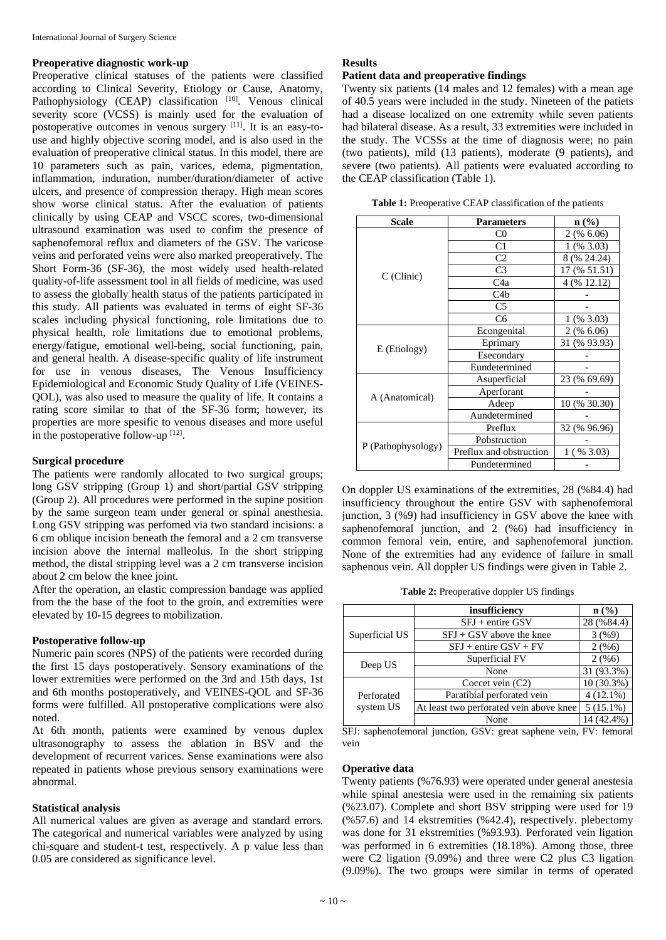#### **Preoperative diagnostic work-up**

Preoperative clinical statuses of the patients were classified according to Clinical Severity, Etiology or Cause, Anatomy, Pathophysiology (CEAP) classification [10]. Venous clinical severity score (VCSS) is mainly used for the evaluation of postoperative outcomes in venous surgery [11]. It is an easy-touse and highly objective scoring model, and is also used in the evaluation of preoperative clinical status. In this model, there are 10 parameters such as pain, varices, edema, pigmentation, inflammation, induration, number/duration/diameter of active ulcers, and presence of compression therapy. High mean scores show worse clinical status. After the evaluation of patients clinically by using CEAP and VSCC scores, two-dimensional ultrasound examination was used to confim the presence of saphenofemoral reflux and diameters of the GSV. The varicose veins and perforated veins were also marked preoperatively. The Short Form-36 (SF-36), the most widely used health-related quality-of-life assessment tool in all fields of medicine, was used to assess the globally health status of the patients participated in this study. All patients was evaluated in terms of eight SF-36 scales including physical functioning, role limitations due to physical health, role limitations due to emotional problems, energy/fatigue, emotional well-being, social functioning, pain, and general health. A disease-specific quality of life instrument for use in venous diseases, The Venous Insufficiency Epidemiological and Economic Study Quality of Life (VEINES-QOL), was also used to measure the quality of life. It contains a rating score similar to that of the SF-36 form; however, its properties are more spesific to venous diseases and more useful in the postoperative follow-up [12].

#### **Surgical procedure**

The patients were randomly allocated to two surgical groups; long GSV stripping (Group 1) and short/partial GSV stripping (Group 2). All procedures were performed in the supine position by the same surgeon team under general or spinal anesthesia. Long GSV stripping was perfomed via two standard incisions: a 6 cm oblique incision beneath the femoral and a 2 cm transverse incision above the internal malleolus. In the short stripping method, the distal stripping level was a 2 cm transverse incision about 2 cm below the knee joint.

After the operation, an elastic compression bandage was applied from the the base of the foot to the groin, and extremities were elevated by 10-15 degrees to mobilization.

#### **Postoperative follow-up**

Numeric pain scores (NPS) of the patients were recorded during the first 15 days postoperatively. Sensory examinations of the lower extremities were performed on the 3rd and 15th days, 1st and 6th months postoperatively, and VEINES-QOL and SF-36 forms were fulfilled. All postoperative complications were also noted.

At 6th month, patients were examined by venous duplex ultrasonography to assess the ablation in BSV and the development of recurrent varices. Sense examinations were also repeated in patients whose previous sensory examinations were abnormal.

#### **Statistical analysis**

All numerical values are given as average and standard errors. The categorical and numerical variables were analyzed by using chi-square and student-t test, respectively. A p value less than 0.05 are considered as significance level.

### **Results**

#### **Patient data and preoperative findings**

Twenty six patients (14 males and 12 females) with a mean age of 40.5 years were included in the study. Nineteen of the patiets had a disease localized on one extremity while seven patients had bilateral disease. As a result, 33 extremities were included in the study. The VCSSs at the time of diagnosis were; no pain (two patients), mild (13 patients), moderate (9 patients), and severe (two patients). All patients were evaluated according to the CEAP classification (Table 1).

| <b>Table 1:</b> Preoperative CEAP classification of the patients |  |
|------------------------------------------------------------------|--|
|------------------------------------------------------------------|--|

| <b>Scale</b>       | <b>Parameters</b>       |               |
|--------------------|-------------------------|---------------|
|                    | $_{\rm C0}$             | $2($ % 6.06)  |
|                    | C1                      | $1($ % 3.03)  |
|                    | C <sub>2</sub>          | 8 (% 24.24)   |
|                    | C <sub>3</sub>          | 17 (% 51.51)  |
| C(Clinic)          | C4a                     | 4 (% 12.12)   |
|                    | C4b                     |               |
|                    | C <sub>5</sub>          |               |
|                    | C <sub>6</sub>          | $1$ (% 3.03)  |
|                    | Econgenital             | $2($ % 6.06)  |
|                    | Eprimary                | 31 (% 93.93)  |
| E (Etiology)       | Esecondary              |               |
|                    | Eundetermined           |               |
| A (Anatomical)     | Asuperficial            | 23 (% 69.69)  |
|                    | Aperforant              |               |
|                    | Adeep                   | 10 (% 30.30)  |
|                    | Aundetermined           |               |
|                    | Preflux                 | 32 (% 96.96)  |
| P (Pathophysology) | Pobstruction            |               |
|                    | Preflux and obstruction | 1 (<br>% 3.03 |
|                    | Pundetermined           |               |

On doppler US examinations of the extremities, 28 (%84.4) had insufficiency throughout the entire GSV with saphenofemoral junction, 3 (%9) had insufficiency in GSV above the knee with saphenofemoral junction, and 2 (%6) had insufficiency in common femoral vein, entire, and saphenofemoral junction. None of the extremities had any evidence of failure in small saphenous vein. All doppler US findings were given in Table 2.

**Table 2:** Preoperative doppler US findings

|                | insufficiency                           | n (%)        |
|----------------|-----------------------------------------|--------------|
|                | $SFJ +$ entire GSV                      | 28 (%84.4)   |
| Superficial US | $SFJ + GSV$ above the knee              | 3(%9)        |
|                | $SFJ +$ entire $GSV + FV$               | 2(%6)        |
|                | Superficial FV                          | 2(%6)        |
| Deep US        | None                                    | 31 (93.3%)   |
|                | Coccet vein $(C2)$                      | $10(30.3\%)$ |
| Perforated     | Paratibial perforated vein              | $4(12.1\%)$  |
| system US      | At least two perforated vein above knee | $5(15.1\%)$  |
|                | None                                    | 14 (42.4%)   |

SFJ: saphenofemoral junction, GSV: great saphene vein, FV: femoral vein

#### **Operative data**

Twenty patients (%76.93) were operated under general anestesia while spinal anestesia were used in the remaining six patients (%23.07). Complete and short BSV stripping were used for 19 (%57.6) and 14 ekstremities (%42.4), respectively. plebectomy was done for 31 ekstremities (%93.93). Perforated vein ligation was performed in 6 extremities (18.18%). Among those, three were C2 ligation (9.09%) and three were C2 plus C3 ligation (9.09%). The two groups were similar in terms of operated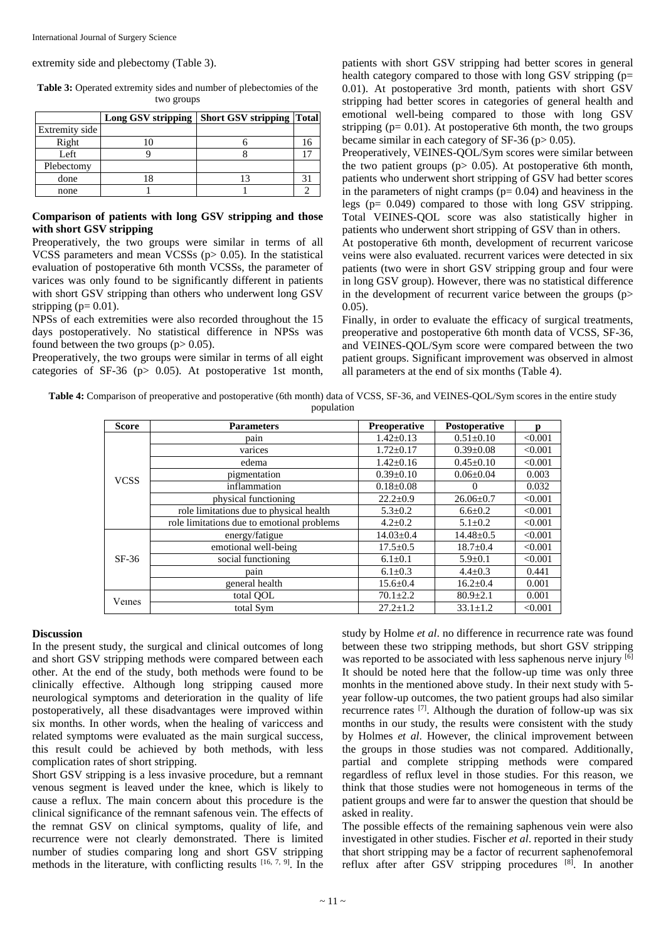extremity side and plebectomy (Table 3).

| two groups     |  |                                                  |    |  |  |  |
|----------------|--|--------------------------------------------------|----|--|--|--|
|                |  | Long GSV stripping   Short GSV stripping   Total |    |  |  |  |
| Extremity side |  |                                                  |    |  |  |  |
| Right          |  |                                                  | 16 |  |  |  |
| Left           |  |                                                  |    |  |  |  |
| Plebectomy     |  |                                                  |    |  |  |  |

**Table 3:** Operated extremity sides and number of plebectomies of the two groups

#### **Comparison of patients with long GSV stripping and those with short GSV stripping**

done 18 13 13 31 none 1 1 1 2

Preoperatively, the two groups were similar in terms of all VCSS parameters and mean VCSSs (p> 0.05). In the statistical evaluation of postoperative 6th month VCSSs, the parameter of varices was only found to be significantly different in patients with short GSV stripping than others who underwent long GSV stripping ( $p= 0.01$ ).

NPSs of each extremities were also recorded throughout the 15 days postoperatively. No statistical difference in NPSs was found between the two groups  $(p > 0.05)$ .

Preoperatively, the two groups were similar in terms of all eight categories of SF-36 (p> 0.05). At postoperative 1st month,

patients with short GSV stripping had better scores in general health category compared to those with long GSV stripping (p= 0.01). At postoperative 3rd month, patients with short GSV stripping had better scores in categories of general health and emotional well-being compared to those with long GSV stripping ( $p = 0.01$ ). At postoperative 6th month, the two groups became similar in each category of SF-36 ( $p$  > 0.05).

Preoperatively, VEINES-QOL/Sym scores were similar between the two patient groups ( $p$  > 0.05). At postoperative 6th month, patients who underwent short stripping of GSV had better scores in the parameters of night cramps ( $p= 0.04$ ) and heaviness in the legs (p= 0.049) compared to those with long GSV stripping. Total VEINES-QOL score was also statistically higher in patients who underwent short stripping of GSV than in others.

At postoperative 6th month, development of recurrent varicose veins were also evaluated. recurrent varices were detected in six patients (two were in short GSV stripping group and four were in long GSV group). However, there was no statistical difference in the development of recurrent varice between the groups  $(p>$ 0.05).

Finally, in order to evaluate the efficacy of surgical treatments, preoperative and postoperative 6th month data of VCSS, SF-36, and VEINES-QOL/Sym score were compared between the two patient groups. Significant improvement was observed in almost all parameters at the end of six months (Table 4).

**Table 4:** Comparison of preoperative and postoperative (6th month) data of VCSS, SF-36, and VEINES-QOL/Sym scores in the entire study population

| <b>Score</b> | <b>Parameters</b>                          | <b>Preoperative</b> | Postoperative   | n       |
|--------------|--------------------------------------------|---------------------|-----------------|---------|
| <b>VCSS</b>  | pain                                       | $1.42 \pm 0.13$     | $0.51 \pm 0.10$ | < 0.001 |
|              | varices                                    | $1.72 \pm 0.17$     | $0.39 \pm 0.08$ | < 0.001 |
|              | edema                                      | $1.42 \pm 0.16$     | $0.45 \pm 0.10$ | < 0.001 |
|              | pigmentation                               | $0.39 \pm 0.10$     | $0.06 \pm 0.04$ | 0.003   |
|              | inflammation                               | $0.18 \pm 0.08$     | $\Omega$        | 0.032   |
|              | physical functioning                       | $22.2 \pm 0.9$      | $26.06 \pm 0.7$ | < 0.001 |
|              | role limitations due to physical health    | $5.3 \pm 0.2$       | $6.6 \pm 0.2$   | < 0.001 |
|              | role limitations due to emotional problems | $4.2 \pm 0.2$       | $5.1 \pm 0.2$   | < 0.001 |
| $SF-36$      | energy/fatigue                             | $14.03 \pm 0.4$     | $14.48 \pm 0.5$ | < 0.001 |
|              | emotional well-being                       | $17.5 \pm 0.5$      | $18.7 \pm 0.4$  | < 0.001 |
|              | social functioning                         | $6.1 \pm 0.1$       | $5.9 \pm 0.1$   | < 0.001 |
|              | pain                                       | $6.1 \pm 0.3$       | $4.4 \pm 0.3$   | 0.441   |
|              | general health                             | $15.6 \pm 0.4$      | $16.2 \pm 0.4$  | 0.001   |
| Veines       | total OOL                                  | $70.1 \pm 2.2$      | $80.9 \pm 2.1$  | 0.001   |
|              | total Sym                                  | $27.2 \pm 1.2$      | $33.1 \pm 1.2$  | < 0.001 |

#### **Discussion**

In the present study, the surgical and clinical outcomes of long and short GSV stripping methods were compared between each other. At the end of the study, both methods were found to be clinically effective. Although long stripping caused more neurological symptoms and deterioration in the quality of life postoperatively, all these disadvantages were improved within six months. In other words, when the healing of variccess and related symptoms were evaluated as the main surgical success, this result could be achieved by both methods, with less complication rates of short stripping.

Short GSV stripping is a less invasive procedure, but a remnant venous segment is leaved under the knee, which is likely to cause a reflux. The main concern about this procedure is the clinical significance of the remnant safenous vein. The effects of the remnat GSV on clinical symptoms, quality of life, and recurrence were not clearly demonstrated. There is limited number of studies comparing long and short GSV stripping methods in the literature, with conflicting results [16, 7, 9] . In the study by Holme *et al*. no difference in recurrence rate was found between these two stripping methods, but short GSV stripping was reported to be associated with less saphenous nerve injury [6] It should be noted here that the follow-up time was only three monhts in the mentioned above study. In their next study with 5 year follow-up outcomes, the two patient groups had also similar recurrence rates [7]. Although the duration of follow-up was six months in our study, the results were consistent with the study by Holmes *et al*. However, the clinical improvement between the groups in those studies was not compared. Additionally, partial and complete stripping methods were compared regardless of reflux level in those studies. For this reason, we think that those studies were not homogeneous in terms of the patient groups and were far to answer the question that should be asked in reality.

The possible effects of the remaining saphenous vein were also investigated in other studies. Fischer *et al*. reported in their study that short stripping may be a factor of recurrent saphenofemoral reflux after after GSV stripping procedures [8]. In another